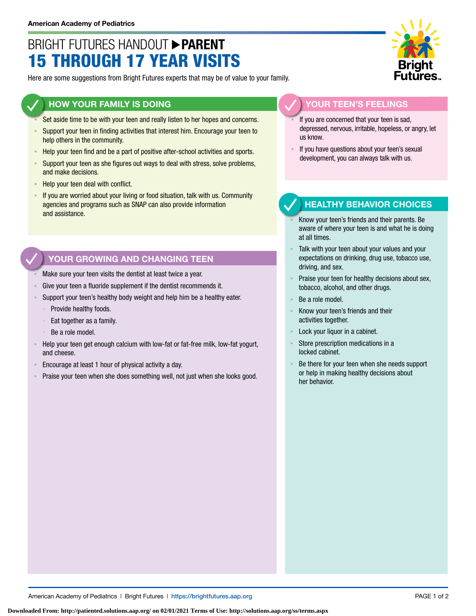# BRIGHT FUTURES HANDOUT **PARENT** 15 THROUGH 17 YEAR VISITS

Here are some suggestions from Bright Futures experts that may be of value to your family.

### **HOW YOUR FAMILY IS DOING**

- Set aside time to be with your teen and really listen to her hopes and concerns.
- **EXECT** Support your teen in finding activities that interest him. Encourage your teen to help others in the community.
- Help your teen find and be a part of positive after-school activities and sports.
- **EXECT** Support your teen as she figures out ways to deal with stress, solve problems, and make decisions.
- Help your teen deal with conflict.
- If you are worried about your living or food situation, talk with us. Community agencies and programs such as SNAP can also provide information and assistance.

## **YOUR GROWING AND CHANGING TEEN**

- Make sure your teen visits the dentist at least twice a year.
- Give your teen a fluoride supplement if the dentist recommends it.
- Support your teen's healthy body weight and help him be a healthy eater.
	- Provide healthy foods.
	- Eat together as a family.
	- Be a role model.
- Help your teen get enough calcium with low-fat or fat-free milk, low-fat yogurt, and cheese.
- Encourage at least 1 hour of physical activity a day.
- Praise your teen when she does something well, not just when she looks good.



#### **YOUR TEEN'S FEELINGS**

- If you are concerned that your teen is sad, depressed, nervous, irritable, hopeless, or angry, let us know.
- If you have questions about your teen's sexual development, you can always talk with us.

### **HEALTHY BEHAVIOR CHOICES**

- Know your teen's friends and their parents. Be aware of where your teen is and what he is doing at all times.
- Talk with your teen about your values and your expectations on drinking, drug use, tobacco use, driving, and sex.
- Praise your teen for healthy decisions about sex, tobacco, alcohol, and other drugs.
- Be a role model.
- Know your teen's friends and their activities together.
- Lock your liquor in a cabinet.
- Store prescription medications in a locked cabinet.
- Be there for your teen when she needs support or help in making healthy decisions about her behavior.

American Academy of Pediatrics | Bright Futures | https://[brightfutures.aap.org](https://brightfutures.aap.org/Pages/default.aspx) PAGE 1 of 2